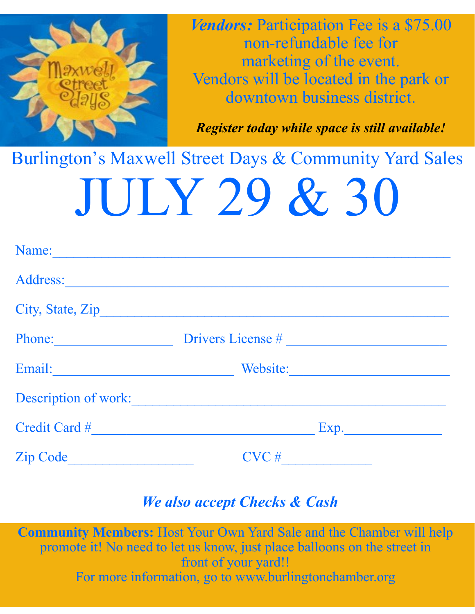

*Vendors:* Participation Fee is a \$75.00 non-refundable fee for marketing of the event. Vendors will be located in the park or downtown business district.

*Register today while space is still available!*

# Burlington's Maxwell Street Days & Community Yard Sales JULY 29 & 30

| Name:                                             |                   |  |
|---------------------------------------------------|-------------------|--|
| Address:                                          |                   |  |
|                                                   |                   |  |
| Phone:<br><u> 1990 - Johann Barbara, martxa a</u> | Drivers License # |  |
| Email:                                            | Website:          |  |
| <b>Description of work:</b>                       |                   |  |
| Credit Card #                                     | Exp.              |  |
| <b>Zip Code</b>                                   | $CVC$ #           |  |

#### *We also accept Checks & Cash*

**Community Members:** Host Your Own Yard Sale and the Chamber will help promote it! No need to let us know, just place balloons on the street in front of your yard!! For more information, go to www.burlingtonchamber.org